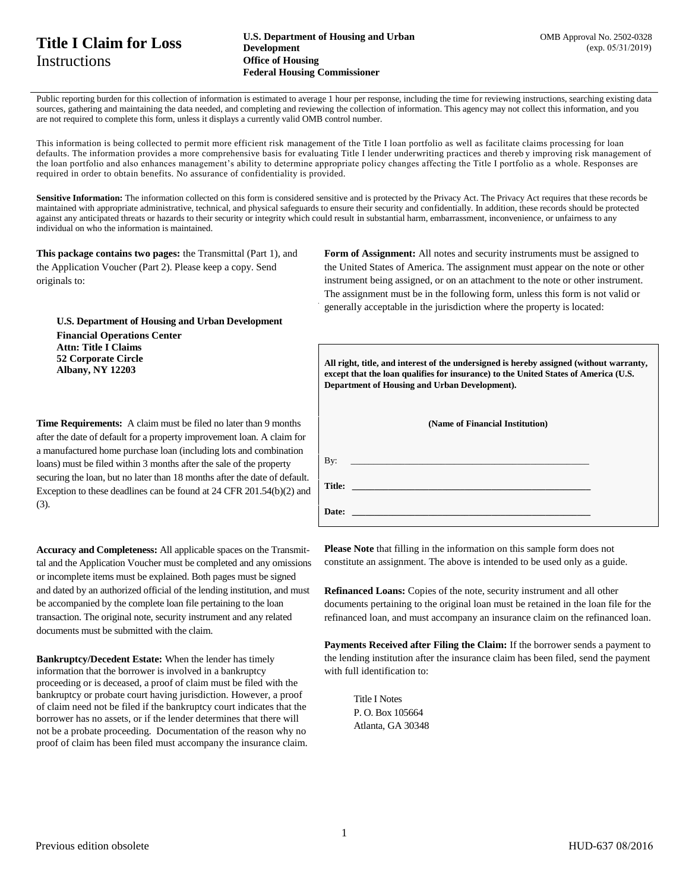## **Title I Claim for Loss Instructions**

Public reporting burden for this collection of information is estimated to average 1 hour per response, including the time for reviewing instructions, searching existing data sources, gathering and maintaining the data needed, and completing and reviewing the collection of information. This agency may not collect this information, and you are not required to complete this form, unless it displays a currently valid OMB control number.

This information is being collected to permit more efficient risk management of the Title I loan portfolio as well as facilitate claims processing for loan defaults. The information provides a more comprehensive basis for evaluating Title I lender underwriting practices and thereb y improving risk management of the loan portfolio and also enhances management's ability to determine appropriate policy changes affecting the Title I portfolio as a whole. Responses are required in order to obtain benefits. No assurance of confidentiality is provided.

Sensitive Information: The information collected on this form is considered sensitive and is protected by the Privacy Act. The Privacy Act requires that these records be maintained with appropriate administrative, technical, and physical safeguards to ensure their security and confidentially. In addition, these records should be protected against any anticipated threats or hazards to their security or integrity which could result in substantial harm, embarrassment, inconvenience, or unfairness to any individual on who the information is maintained.

**This package contains two pages:** the Transmittal (Part 1), and the Application Voucher (Part 2). Please keep a copy. Send originals to:

**U.S. Department of Housing and Urban Development Financial Operations Center Attn: Title I Claims 52 Corporate Circle Albany, NY 12203**

**Time Requirements:** A claim must be filed no later than 9 months after the date of default for a property improvement loan. A claim for a manufactured home purchase loan (including lots and combination loans) must be filed within 3 months after the sale of the property securing the loan, but no later than 18 months after the date of default. Exception to these deadlines can be found at 24 CFR 201.54(b)(2) and (3).

**Accuracy and Completeness:** All applicable spaces on the Transmittal and the Application Voucher must be completed and any omissions or incomplete items must be explained. Both pages must be signed and dated by an authorized official of the lending institution, and must be accompanied by the complete loan file pertaining to the loan transaction. The original note, security instrument and any related documents must be submitted with the claim.

**Bankruptcy/Decedent Estate:** When the lender has timely information that the borrower is involved in a bankruptcy proceeding or is deceased, a proof of claim must be filed with the bankruptcy or probate court having jurisdiction. However, a proof of claim need not be filed if the bankruptcy court indicates that the borrower has no assets, or if the lender determines that there will not be a probate proceeding. Documentation of the reason why no proof of claim has been filed must accompany the insurance claim. **Form of Assignment:** All notes and security instruments must be assigned to the United States of America. The assignment must appear on the note or other instrument being assigned, or on an attachment to the note or other instrument. The assignment must be in the following form, unless this form is not valid or generally acceptable in the jurisdiction where the property is located:

**All right, title, and interest of the undersigned is hereby assigned (without warranty, except that the loan qualifies for insurance) to the United States of America (U.S. Department of Housing and Urban Development).**

| (Name of Financial Institution) |                                                                                                                        |  |  |  |
|---------------------------------|------------------------------------------------------------------------------------------------------------------------|--|--|--|
| By:                             | <u> 1989 - Johann John Harry Harry Harry Harry Harry Harry Harry Harry Harry Harry Harry Harry Harry Harry Harry H</u> |  |  |  |
| Title:                          |                                                                                                                        |  |  |  |
| Date:                           |                                                                                                                        |  |  |  |

Please Note that filling in the information on this sample form does not constitute an assignment. The above is intended to be used only as a guide.

**Refinanced Loans:** Copies of the note, security instrument and all other documents pertaining to the original loan must be retained in the loan file for the refinanced loan, and must accompany an insurance claim on the refinanced loan.

**Payments Received after Filing the Claim:** If the borrower sends a payment to the lending institution after the insurance claim has been filed, send the payment with full identification to:

Title I Notes P. O. Box 105664 Atlanta, GA 30348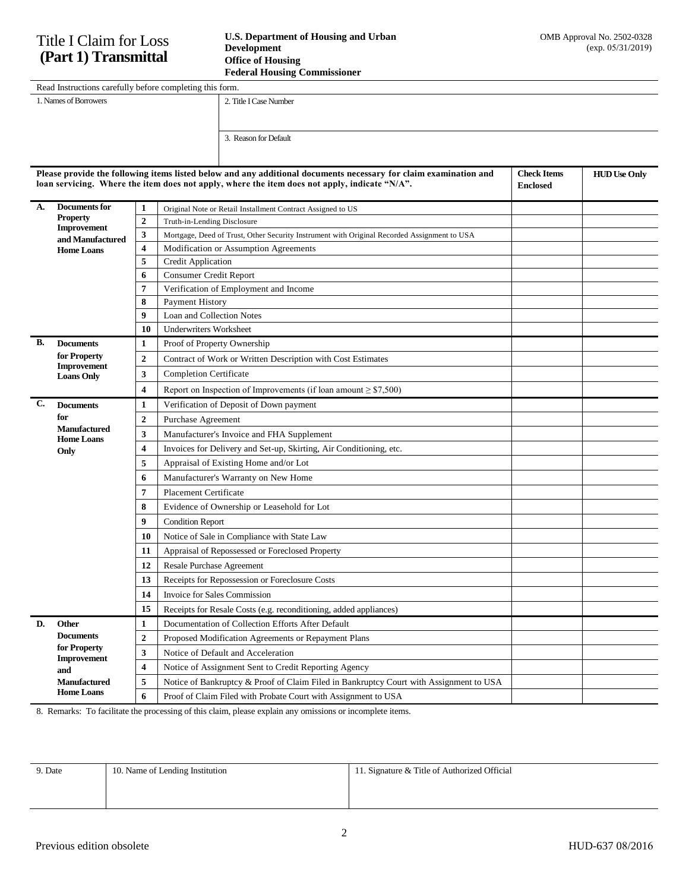## Title I Claim for Loss **(Part 1) Transmittal**

| <b>Teach at Housing Commissioner</b>                     |                        |  |  |
|----------------------------------------------------------|------------------------|--|--|
| Read Instructions carefully before completing this form. |                        |  |  |
| 1. Names of Borrowers                                    | 2. Title I Case Number |  |  |
|                                                          |                        |  |  |
|                                                          |                        |  |  |
|                                                          | 3. Reason for Default  |  |  |

| Please provide the following items listed below and any additional documents necessary for claim examination and<br><b>Check Items</b><br>loan servicing. Where the item does not apply, where the item does not apply, indicate "N/A".<br><b>Enclosed</b> |                                                                                |                         |                                                                                             |  | <b>HUD Use Only</b> |
|------------------------------------------------------------------------------------------------------------------------------------------------------------------------------------------------------------------------------------------------------------|--------------------------------------------------------------------------------|-------------------------|---------------------------------------------------------------------------------------------|--|---------------------|
| A.                                                                                                                                                                                                                                                         | Documents for                                                                  | 1                       | Original Note or Retail Installment Contract Assigned to US                                 |  |                     |
|                                                                                                                                                                                                                                                            | <b>Property</b><br><b>Improvement</b><br>and Manufactured<br><b>Home Loans</b> | $\overline{2}$          | Truth-in-Lending Disclosure                                                                 |  |                     |
|                                                                                                                                                                                                                                                            |                                                                                | $\overline{\mathbf{3}}$ | Mortgage, Deed of Trust, Other Security Instrument with Original Recorded Assignment to USA |  |                     |
|                                                                                                                                                                                                                                                            |                                                                                | 4                       | Modification or Assumption Agreements                                                       |  |                     |
|                                                                                                                                                                                                                                                            |                                                                                | 5                       | Credit Application                                                                          |  |                     |
|                                                                                                                                                                                                                                                            |                                                                                | 6                       | <b>Consumer Credit Report</b>                                                               |  |                     |
|                                                                                                                                                                                                                                                            |                                                                                | 7                       | Verification of Employment and Income                                                       |  |                     |
|                                                                                                                                                                                                                                                            |                                                                                | 8                       | Payment History                                                                             |  |                     |
|                                                                                                                                                                                                                                                            |                                                                                | $\boldsymbol{9}$        | Loan and Collection Notes                                                                   |  |                     |
|                                                                                                                                                                                                                                                            |                                                                                | 10                      | <b>Underwriters Worksheet</b>                                                               |  |                     |
| В.                                                                                                                                                                                                                                                         | <b>Documents</b>                                                               | $\mathbf{1}$            | Proof of Property Ownership                                                                 |  |                     |
|                                                                                                                                                                                                                                                            | for Property<br>Improvement                                                    | $\overline{2}$          | Contract of Work or Written Description with Cost Estimates                                 |  |                     |
|                                                                                                                                                                                                                                                            | <b>Loans Only</b>                                                              | 3                       | <b>Completion Certificate</b>                                                               |  |                     |
|                                                                                                                                                                                                                                                            |                                                                                | $\overline{\mathbf{4}}$ | Report on Inspection of Improvements (if loan amount $\geq$ \$7,500)                        |  |                     |
| C.                                                                                                                                                                                                                                                         | <b>Documents</b>                                                               | $\mathbf{1}$            | Verification of Deposit of Down payment                                                     |  |                     |
|                                                                                                                                                                                                                                                            | for                                                                            | $\overline{2}$          | Purchase Agreement                                                                          |  |                     |
|                                                                                                                                                                                                                                                            | <b>Manufactured</b><br><b>Home Loans</b>                                       | 3                       | Manufacturer's Invoice and FHA Supplement                                                   |  |                     |
|                                                                                                                                                                                                                                                            | Only                                                                           | 4                       | Invoices for Delivery and Set-up, Skirting, Air Conditioning, etc.                          |  |                     |
|                                                                                                                                                                                                                                                            |                                                                                | 5                       | Appraisal of Existing Home and/or Lot                                                       |  |                     |
|                                                                                                                                                                                                                                                            |                                                                                | 6                       | Manufacturer's Warranty on New Home                                                         |  |                     |
|                                                                                                                                                                                                                                                            |                                                                                | 7                       | <b>Placement Certificate</b>                                                                |  |                     |
|                                                                                                                                                                                                                                                            |                                                                                | 8                       | Evidence of Ownership or Leasehold for Lot                                                  |  |                     |
|                                                                                                                                                                                                                                                            |                                                                                | 9                       | <b>Condition Report</b>                                                                     |  |                     |
|                                                                                                                                                                                                                                                            |                                                                                | 10                      | Notice of Sale in Compliance with State Law                                                 |  |                     |
|                                                                                                                                                                                                                                                            |                                                                                | 11                      | Appraisal of Repossessed or Foreclosed Property                                             |  |                     |
|                                                                                                                                                                                                                                                            |                                                                                | 12                      | <b>Resale Purchase Agreement</b>                                                            |  |                     |
|                                                                                                                                                                                                                                                            |                                                                                | 13                      | Receipts for Repossession or Foreclosure Costs                                              |  |                     |
|                                                                                                                                                                                                                                                            |                                                                                | 14                      | Invoice for Sales Commission                                                                |  |                     |
|                                                                                                                                                                                                                                                            |                                                                                | 15                      | Receipts for Resale Costs (e.g. reconditioning, added appliances)                           |  |                     |
| D.                                                                                                                                                                                                                                                         | Other                                                                          | $\mathbf{1}$            | Documentation of Collection Efforts After Default                                           |  |                     |
|                                                                                                                                                                                                                                                            | <b>Documents</b>                                                               | $\overline{2}$          | Proposed Modification Agreements or Repayment Plans                                         |  |                     |
|                                                                                                                                                                                                                                                            | for Property                                                                   | 3                       | Notice of Default and Acceleration                                                          |  |                     |
|                                                                                                                                                                                                                                                            | <b>Improvement</b><br>and                                                      | 4                       | Notice of Assignment Sent to Credit Reporting Agency                                        |  |                     |
|                                                                                                                                                                                                                                                            | <b>Manufactured</b>                                                            | 5                       | Notice of Bankruptcy & Proof of Claim Filed in Bankruptcy Court with Assignment to USA      |  |                     |
|                                                                                                                                                                                                                                                            | <b>Home Loans</b>                                                              | 6                       | Proof of Claim Filed with Probate Court with Assignment to USA                              |  |                     |

8. Remarks: To facilitate the processing of this claim, please explain any omissions or incomplete items.

| 9. Date | 10. Name of Lending Institution | 11. Signature & Title of Authorized Official |
|---------|---------------------------------|----------------------------------------------|
|         |                                 |                                              |
|         |                                 |                                              |
|         |                                 |                                              |